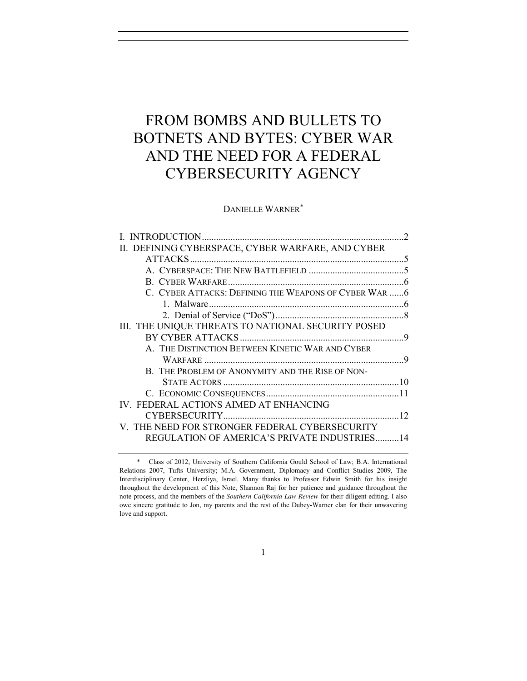# FROM BOMBS AND BULLETS TO BOTNETS AND BYTES: CYBER WAR AND THE NEED FOR A FEDERAL CYBERSECURITY AGENCY

DANIELLE WARNER\*

| I. INTRODUCTION                                        | $\mathcal{D}$ |
|--------------------------------------------------------|---------------|
| II. DEFINING CYBERSPACE, CYBER WARFARE, AND CYBER      |               |
| ATTACKS                                                |               |
|                                                        |               |
|                                                        |               |
| C. CYBER ATTACKS: DEFINING THE WEAPONS OF CYBER WAR  6 |               |
|                                                        |               |
|                                                        |               |
| III. THE UNIQUE THREATS TO NATIONAL SECURITY POSED     |               |
|                                                        |               |
| A. THE DISTINCTION BETWEEN KINETIC WAR AND CYBER       |               |
|                                                        |               |
| B. THE PROBLEM OF ANONYMITY AND THE RISE OF NON-       |               |
|                                                        |               |
|                                                        |               |
| IV. FEDERAL ACTIONS AIMED AT ENHANCING                 |               |
|                                                        | 12            |
| V. THE NEED FOR STRONGER FEDERAL CYBERSECURITY         |               |
| REGULATION OF AMERICA'S PRIVATE INDUSTRIES14           |               |
|                                                        |               |

<sup>\*</sup> Class of 2012, University of Southern California Gould School of Law; B.A. International Relations 2007, Tufts University; M.A. Government, Diplomacy and Conflict Studies 2009, The Interdisciplinary Center, Herzliya, Israel. Many thanks to Professor Edwin Smith for his insight throughout the development of this Note, Shannon Raj for her patience and guidance throughout the note process, and the members of the *Southern California Law Review* for their diligent editing. I also owe sincere gratitude to Jon, my parents and the rest of the Dubey-Warner clan for their unwavering love and support.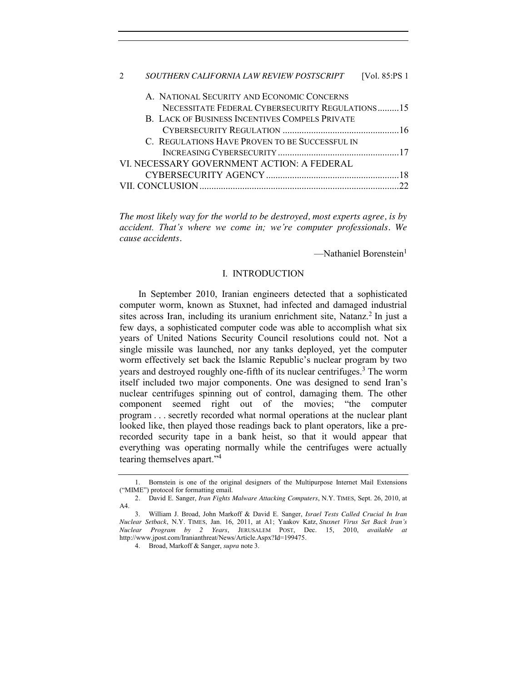| SOUTHERN CALIFORNIA LAW REVIEW POSTSCRIPT       | [Vol. 85:PS 1 |
|-------------------------------------------------|---------------|
| A. NATIONAL SECURITY AND ECONOMIC CONCERNS      |               |
| NECESSITATE FEDERAL CYBERSECURITY REGULATIONS15 |               |
| B. LACK OF BUSINESS INCENTIVES COMPELS PRIVATE  |               |
|                                                 |               |
| C. REGULATIONS HAVE PROVEN TO BE SUCCESSFUL IN  |               |
|                                                 |               |
| VI. NECESSARY GOVERNMENT ACTION: A FEDERAL      |               |
|                                                 |               |
|                                                 |               |
|                                                 |               |

*The most likely way for the world to be destroyed, most experts agree, is by accident. That's where we come in; we're computer professionals. We cause accidents.*

 $-Mathaniel Borenstein<sup>1</sup>$ 

## I. INTRODUCTION

<span id="page-1-0"></span>In September 2010, Iranian engineers detected that a sophisticated computer worm, known as Stuxnet, had infected and damaged industrial sites across Iran, including its uranium enrichment site, Natanz.<sup>2</sup> In just a few days, a sophisticated computer code was able to accomplish what six years of United Nations Security Council resolutions could not. Not a single missile was launched, nor any tanks deployed, yet the computer worm effectively set back the Islamic Republic's nuclear program by two years and destroyed roughly one-fifth of its nuclear centrifuges.<sup>3</sup> The worm itself included two major components. One was designed to send Iran's nuclear centrifuges spinning out of control, damaging them. The other component seemed right out of the movies; "the computer program . . . secretly recorded what normal operations at the nuclear plant looked like, then played those readings back to plant operators, like a prerecorded security tape in a bank heist, so that it would appear that everything was operating normally while the centrifuges were actually tearing themselves apart."<sup>4</sup>

<sup>1.</sup> Bornstein is one of the original designers of the Multipurpose Internet Mail Extensions ("MIME") protocol for formatting email.

<sup>2</sup>*.* David E. Sanger, *Iran Fights Malware Attacking Computers*, N.Y. TIMES, Sept. 26, 2010, at A4.

<sup>3.</sup> William J. Broad, John Markoff & David E. Sanger, *Israel Tests Called Crucial In Iran Nuclear Setback*, N.Y*.* TIMES*,* Jan. 16, 2011, at A1; Yaakov Katz, *Stuxnet Virus Set Back Iran's Nuclear Program by 2 Years*, JERUSALEM POST, Dec. 15, 2010, *available at* http://www.jpost.com/Iranianthreat/News/Article.Aspx?Id=199475.

<sup>4.</sup> Broad, Markoff & Sanger, *supra* note 3.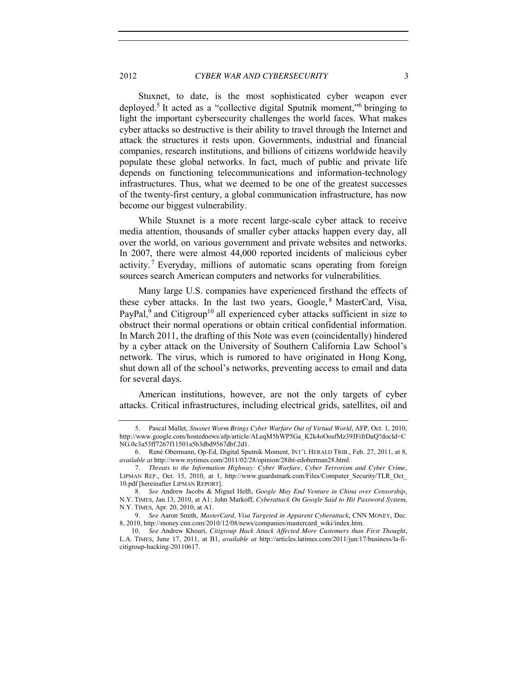Stuxnet, to date, is the most sophisticated cyber weapon ever deployed.5 It acted as a "collective digital Sputnik moment,"<sup>6</sup> bringing to light the important cybersecurity challenges the world faces. What makes cyber attacks so destructive is their ability to travel through the Internet and attack the structures it rests upon. Governments, industrial and financial companies, research institutions, and billions of citizens worldwide heavily populate these global networks. In fact, much of public and private life depends on functioning telecommunications and information-technology infrastructures. Thus, what we deemed to be one of the greatest successes of the twenty-first century, a global communication infrastructure, has now become our biggest vulnerability.

While Stuxnet is a more recent large-scale cyber attack to receive media attention, thousands of smaller cyber attacks happen every day, all over the world, on various government and private websites and networks. In 2007, there were almost 44,000 reported incidents of malicious cyber activity.<sup>7</sup> Everyday, millions of automatic scans operating from foreign sources search American computers and networks for vulnerabilities.

Many large U.S. companies have experienced firsthand the effects of these cyber attacks. In the last two years, Google, <sup>8</sup> MasterCard, Visa,  $PayPal<sup>9</sup>$  and Citigroup<sup>10</sup> all experienced cyber attacks sufficient in size to obstruct their normal operations or obtain critical confidential information. In March 2011, the drafting of this Note was even (coincidentally) hindered by a cyber attack on the University of Southern California Law School's network. The virus, which is rumored to have originated in Hong Kong, shut down all of the school's networks, preventing access to email and data for several days.

American institutions, however, are not the only targets of cyber attacks. Critical infrastructures, including electrical grids, satellites, oil and

<sup>5.</sup> Pascal Mallet, *Stuxnet Worm Brings Cyber Warfare Out of Virtual World*, AFP, Oct. 1, 2010, http://www.google.com/hostednews/afp/article/ALeqM5hWP5Ga\_K2k4oOosfMz39JFifrDaQ?docId=C NG.0c3a53ff7267f11501a5b3dbd9567dbf.2d1.

<sup>6</sup>*.* René Obermann, Op-Ed, Digital Sputnik Moment, INT'L HERALD TRIB., Feb. 27, 2011, at 8, *available at* http://www.nytimes.com/2011/02/28/opinion/28iht-edoberman28.html.

<sup>7.</sup> *Threats to the Information Highway: Cyber Warfare, Cyber Terrorism and Cyber Crime*, LIPMAN REP., Oct. 15, 2010, at 1, http://www.guardsmark.com/Files/Computer\_Security/TLR\_Oct 10.pdf [hereinafter LIPMAN REPORT].

<sup>8</sup>*. See* Andrew Jacobs & Miguel Helft, *Google May End Venture in China over Censorship*, N.Y. TIMES, Jan.13, 2010, at A1; John Markoff, *Cyberattack On Google Said to Hit Password System*, N.Y. TIMES, Apr. 20, 2010, at A1.

<sup>9</sup>*. See* Aaron Smith, *MasterCard, Visa Targeted in Apparent Cyberattack*, CNN MONEY, Dec. 8, 2010, http://money.cnn.com/2010/12/08/news/companies/mastercard\_wiki/index.htm.

<sup>10</sup>*. See* Andrew Khouri, *Citigroup Hack Attack Affected More Customers than First Thought*, L.A. TIMES, June 17, 2011, at B1, *available at* http://articles.latimes.com/2011/jun/17/business/la-ficitigroup-hacking-20110617.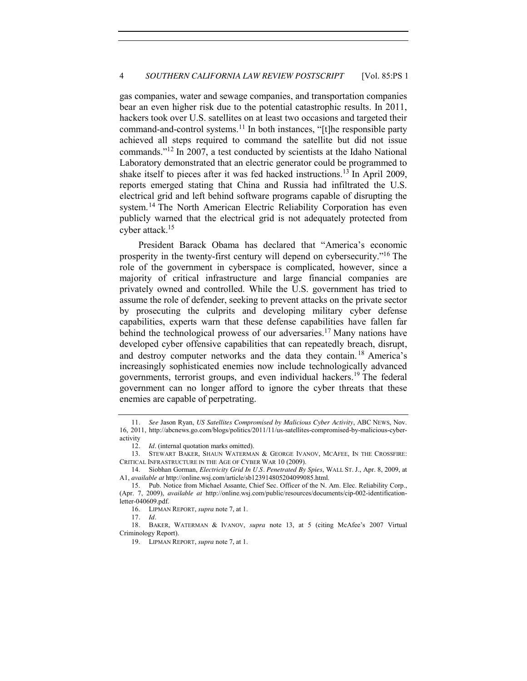gas companies, water and sewage companies, and transportation companies bear an even higher risk due to the potential catastrophic results. In 2011, hackers took over U.S. satellites on at least two occasions and targeted their command-and-control systems.<sup>11</sup> In both instances, "[t]he responsible party achieved all steps required to command the satellite but did not issue commands."<sup>12</sup> In 2007, a test conducted by scientists at the Idaho National Laboratory demonstrated that an electric generator could be programmed to shake itself to pieces after it was fed hacked instructions.<sup>13</sup> In April 2009, reports emerged stating that China and Russia had infiltrated the U.S. electrical grid and left behind software programs capable of disrupting the system.<sup>14</sup> The North American Electric Reliability Corporation has even publicly warned that the electrical grid is not adequately protected from cyber attack.15

President Barack Obama has declared that "America's economic prosperity in the twenty-first century will depend on cybersecurity."<sup>16</sup> The role of the government in cyberspace is complicated, however, since a majority of critical infrastructure and large financial companies are privately owned and controlled. While the U.S. government has tried to assume the role of defender, seeking to prevent attacks on the private sector by prosecuting the culprits and developing military cyber defense capabilities, experts warn that these defense capabilities have fallen far behind the technological prowess of our adversaries.<sup>17</sup> Many nations have developed cyber offensive capabilities that can repeatedly breach, disrupt, and destroy computer networks and the data they contain. <sup>18</sup> America's increasingly sophisticated enemies now include technologically advanced governments, terrorist groups, and even individual hackers.<sup>19</sup> The federal government can no longer afford to ignore the cyber threats that these enemies are capable of perpetrating.

<sup>11</sup>*. See* Jason Ryan, *US Satellites Compromised by Malicious Cyber Activity*, ABC NEWS, Nov. 16, 2011, http://abcnews.go.com/blogs/politics/2011/11/us-satellites-compromised-by-malicious-cyberactivity

<sup>12</sup>*. Id.* (internal quotation marks omitted).

<sup>13.</sup> STEWART BAKER, SHAUN WATERMAN & GEORGE IVANOV, MCAFEE, IN THE CROSSFIRE: CRITICAL INFRASTRUCTURE IN THE AGE OF CYBER WAR 10 (2009).

<sup>14.</sup> Siobhan Gorman, *Electricity Grid In U.S. Penetrated By Spies*, WALL ST. J., Apr. 8, 2009, at A1, *available at* http://online.wsj.com/article/sb123914805204099085.html.

<sup>15.</sup> Pub. Notice from Michael Assante, Chief Sec. Officer of the N. Am. Elec. Reliability Corp., (Apr. 7, 2009), *available at* http://online.wsj.com/public/resources/documents/cip-002-identificationletter-040609.pdf.

<sup>16.</sup> LIPMAN REPORT, *supra* note 7, at 1.

<sup>17</sup>*. Id.*

<sup>18</sup>*.* BAKER, WATERMAN & IVANOV, *supra* note 13, at 5 (citing McAfee's 2007 Virtual Criminology Report).

<sup>19.</sup> LIPMAN REPORT, *supra* note 7, at 1.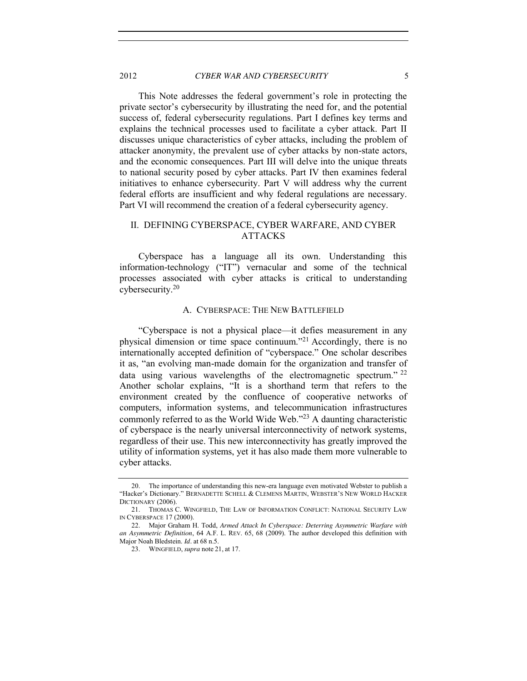This Note addresses the federal government's role in protecting the private sector's cybersecurity by illustrating the need for, and the potential success of, federal cybersecurity regulations. Part I defines key terms and explains the technical processes used to facilitate a cyber attack. Part II discusses unique characteristics of cyber attacks, including the problem of attacker anonymity, the prevalent use of cyber attacks by non-state actors, and the economic consequences. Part III will delve into the unique threats to national security posed by cyber attacks. Part IV then examines federal initiatives to enhance cybersecurity. Part V will address why the current federal efforts are insufficient and why federal regulations are necessary. Part VI will recommend the creation of a federal cybersecurity agency.

# <span id="page-4-0"></span>II. DEFINING CYBERSPACE, CYBER WARFARE, AND CYBER ATTACKS

Cyberspace has a language all its own. Understanding this information-technology ("IT") vernacular and some of the technical processes associated with cyber attacks is critical to understanding cybersecurity.<sup>20</sup>

## A. CYBERSPACE: THE NEW BATTLEFIELD

<span id="page-4-1"></span>"Cyberspace is not a physical place—it defies measurement in any physical dimension or time space continuum."<sup>21</sup> Accordingly, there is no internationally accepted definition of "cyberspace." One scholar describes it as, "an evolving man-made domain for the organization and transfer of data using various wavelengths of the electromagnetic spectrum." <sup>22</sup> Another scholar explains, "It is a shorthand term that refers to the environment created by the confluence of cooperative networks of computers, information systems, and telecommunication infrastructures commonly referred to as the World Wide Web."<sup>23</sup> A daunting characteristic of cyberspace is the nearly universal interconnectivity of network systems, regardless of their use. This new interconnectivity has greatly improved the utility of information systems, yet it has also made them more vulnerable to cyber attacks.

<sup>20.</sup> The importance of understanding this new-era language even motivated Webster to publish a "Hacker's Dictionary." BERNADETTE SCHELL & CLEMENS MARTIN, WEBSTER'S NEW WORLD HACKER DICTIONARY (2006).

<sup>21.</sup> THOMAS C. WINGFIELD, THE LAW OF INFORMATION CONFLICT: NATIONAL SECURITY LAW IN CYBERSPACE 17 (2000).

<sup>22.</sup> Major Graham H. Todd, *Armed Attack In Cyberspace: Deterring Asymmetric Warfare with an Asymmetric Definition*, 64 A.F. L. REV. 65, 68 (2009). The author developed this definition with Major Noah Bledstein. *Id.* at 68 n.5.

<sup>23.</sup> WINGFIELD, *supra* note 21, at 17.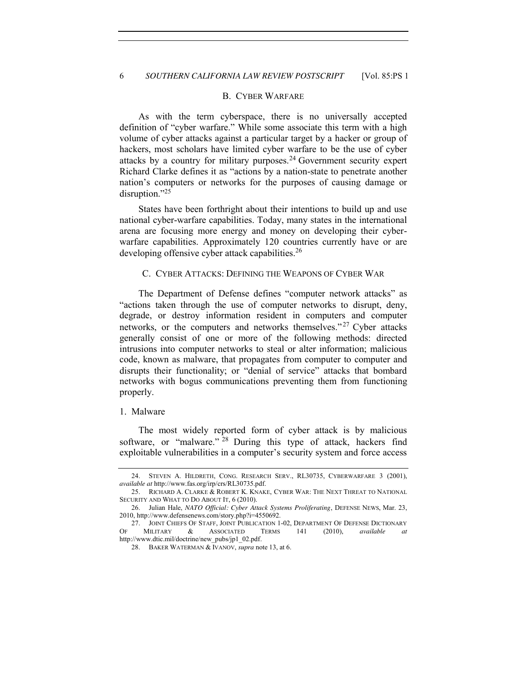#### B. CYBER WARFARE

<span id="page-5-0"></span>As with the term cyberspace, there is no universally accepted definition of "cyber warfare." While some associate this term with a high volume of cyber attacks against a particular target by a hacker or group of hackers, most scholars have limited cyber warfare to be the use of cyber attacks by a country for military purposes.<sup>24</sup> Government security expert Richard Clarke defines it as "actions by a nation-state to penetrate another nation's computers or networks for the purposes of causing damage or disruption."<sup>25</sup>

States have been forthright about their intentions to build up and use national cyber-warfare capabilities. Today, many states in the international arena are focusing more energy and money on developing their cyberwarfare capabilities. Approximately 120 countries currently have or are developing offensive cyber attack capabilities.<sup>26</sup>

## <span id="page-5-1"></span>C. CYBER ATTACKS: DEFINING THE WEAPONS OF CYBER WAR

The Department of Defense defines "computer network attacks" as "actions taken through the use of computer networks to disrupt, deny, degrade, or destroy information resident in computers and computer networks, or the computers and networks themselves."<sup>27</sup> Cyber attacks generally consist of one or more of the following methods: directed intrusions into computer networks to steal or alter information; malicious code, known as malware, that propagates from computer to computer and disrupts their functionality; or "denial of service" attacks that bombard networks with bogus communications preventing them from functioning properly.

## <span id="page-5-2"></span>1. Malware

The most widely reported form of cyber attack is by malicious software, or "malware." <sup>28</sup> During this type of attack, hackers find exploitable vulnerabilities in a computer's security system and force access

<sup>24.</sup> STEVEN A. HILDRETH, CONG. RESEARCH SERV., RL30735, CYBERWARFARE 3 (2001), *available at* http://www.fas.org/irp/crs/RL30735.pdf.

<sup>25.</sup> RICHARD A. CLARKE & ROBERT K. KNAKE, CYBER WAR: THE NEXT THREAT TO NATIONAL SECURITY AND WHAT TO DO ABOUT IT, 6 (2010).

<sup>26.</sup> Julian Hale, *NATO Official: Cyber Attack Systems Proliferating*, DEFENSE NEWS, Mar. 23, 2010, http://www.defensenews.com/story.php?i=4550692.

<sup>27.</sup> JOINT CHIEFS OF STAFF, JOINT PUBLICATION 1-02, DEPARTMENT OF DEFENSE DICTIONARY OF MILITARY & ASSOCIATED TERMS 141 (2010), *available at* http://www.dtic.mil/doctrine/new\_pubs/jp1\_02.pdf.

<sup>28.</sup> BAKER WATERMAN & IVANOV, *supra* note 13, at 6.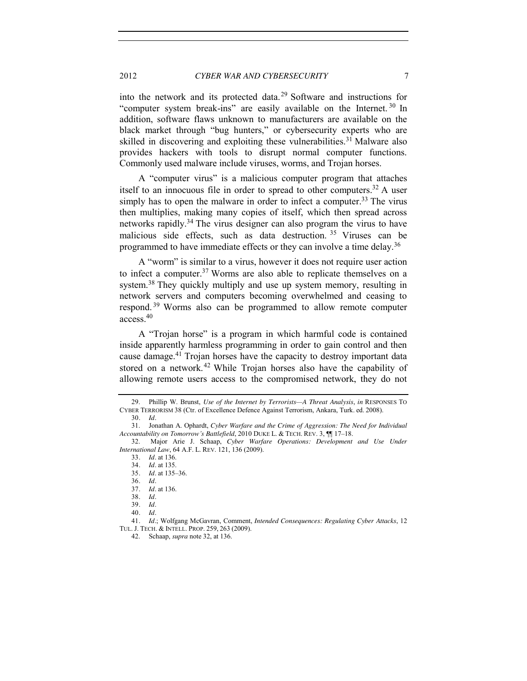into the network and its protected data.<sup>29</sup> Software and instructions for "computer system break-ins" are easily available on the Internet.<sup>30</sup> In addition, software flaws unknown to manufacturers are available on the black market through "bug hunters," or cybersecurity experts who are skilled in discovering and exploiting these vulnerabilities.<sup>31</sup> Malware also provides hackers with tools to disrupt normal computer functions. Commonly used malware include viruses, worms, and Trojan horses.

A "computer virus" is a malicious computer program that attaches itself to an innocuous file in order to spread to other computers.<sup>32</sup> A user simply has to open the malware in order to infect a computer.<sup>33</sup> The virus then multiplies, making many copies of itself, which then spread across networks rapidly.<sup>34</sup> The virus designer can also program the virus to have malicious side effects, such as data destruction.<sup>35</sup> Viruses can be programmed to have immediate effects or they can involve a time delay.<sup>36</sup>

A "worm" is similar to a virus, however it does not require user action to infect a computer.<sup>37</sup> Worms are also able to replicate themselves on a system.<sup>38</sup> They quickly multiply and use up system memory, resulting in network servers and computers becoming overwhelmed and ceasing to respond. <sup>39</sup> Worms also can be programmed to allow remote computer access.40

A "Trojan horse" is a program in which harmful code is contained inside apparently harmless programming in order to gain control and then cause damage.<sup>41</sup> Trojan horses have the capacity to destroy important data stored on a network.<sup>42</sup> While Trojan horses also have the capability of allowing remote users access to the compromised network, they do not

38*. Id.*

40*. Id.*

42. Schaap, *supra* note 32, at 136.

<sup>29.</sup> Phillip W. Brunst, *Use of the Internet by Terrorists—A Threat Analysis*, *in* RESPONSES TO CYBER TERRORISM 38 (Ctr. of Excellence Defence Against Terrorism, Ankara, Turk. ed. 2008). 30*. Id.*

<sup>31.</sup> Jonathan A. Ophardt, *Cyber Warfare and the Crime of Aggression: The Need for Individual Accountability on Tomorrow's Battlefield*, 2010 DUKE L. & TECH. REV. 3, ¶¶ 17*–*18.

<sup>32.</sup> Major Arie J. Schaap, *Cyber Warfare Operations: Development and Use Under International Law*, 64 A.F. L. REV. 121, 136 (2009).

<sup>33</sup>*. Id.* at 136.

<sup>34</sup>*. Id.* at 135.

<sup>35</sup>*. Id.* at 135–36.

<sup>36</sup>*. Id.*

<sup>37</sup>*. Id.* at 136.

<sup>39</sup>*. Id.*

<sup>41</sup>*. Id.*; Wolfgang McGavran, Comment, *Intended Consequences: Regulating Cyber Attacks*, 12 TUL. J. TECH. & INTELL. PROP. 259, 263 (2009).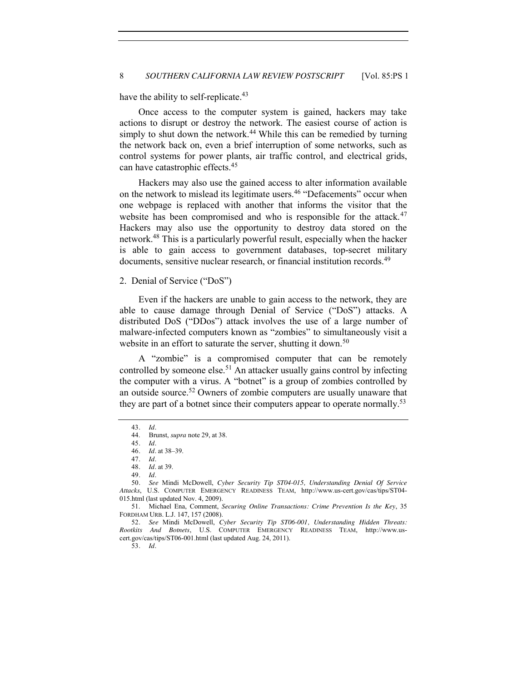have the ability to self-replicate.<sup>43</sup>

Once access to the computer system is gained, hackers may take actions to disrupt or destroy the network. The easiest course of action is simply to shut down the network.<sup>44</sup> While this can be remedied by turning the network back on, even a brief interruption of some networks, such as control systems for power plants, air traffic control, and electrical grids, can have catastrophic effects.<sup>45</sup>

Hackers may also use the gained access to alter information available on the network to mislead its legitimate users.<sup>46</sup> "Defacements" occur when one webpage is replaced with another that informs the visitor that the website has been compromised and who is responsible for the attack.<sup>47</sup> Hackers may also use the opportunity to destroy data stored on the network.<sup>48</sup> This is a particularly powerful result, especially when the hacker is able to gain access to government databases, top-secret military documents, sensitive nuclear research, or financial institution records.<sup>49</sup>

#### <span id="page-7-0"></span>2. Denial of Service ("DoS")

Even if the hackers are unable to gain access to the network, they are able to cause damage through Denial of Service ("DoS") attacks. A distributed DoS ("DDos") attack involves the use of a large number of malware-infected computers known as "zombies" to simultaneously visit a website in an effort to saturate the server, shutting it down.<sup>50</sup>

A "zombie" is a compromised computer that can be remotely controlled by someone else.<sup>51</sup> An attacker usually gains control by infecting the computer with a virus. A "botnet" is a group of zombies controlled by an outside source.52 Owners of zombie computers are usually unaware that they are part of a botnet since their computers appear to operate normally.<sup>53</sup>

<sup>43</sup>*. Id.*

<sup>44.</sup> Brunst, *supra* note 29, at 38.

<sup>45</sup>*. Id.*

<sup>46</sup>*. Id.* at 38*–*39.

<sup>47</sup>*. Id.*

<sup>48</sup>*. Id.* at 39. 49*. Id.*

<sup>50</sup>*. See* Mindi McDowell, *Cyber Security Tip ST04-015, Understanding Denial Of Service Attacks*, U.S. COMPUTER EMERGENCY READINESS TEAM, http://www.us-cert.gov/cas/tips/ST04- 015.html (last updated Nov. 4, 2009).

<sup>51.</sup> Michael Ena, Comment, *Securing Online Transactions: Crime Prevention Is the Key*, 35 FORDHAM URB. L.J. 147, 157 (2008).

<sup>52</sup>*. See* Mindi McDowell, *Cyber Security Tip ST06-001, Understanding Hidden Threats: Rootkits And Botnets*, U.S. COMPUTER EMERGENCY READINESS TEAM, http://www.uscert.gov/cas/tips/ST06-001.html (last updated Aug. 24, 2011).

<sup>53</sup>*. Id.*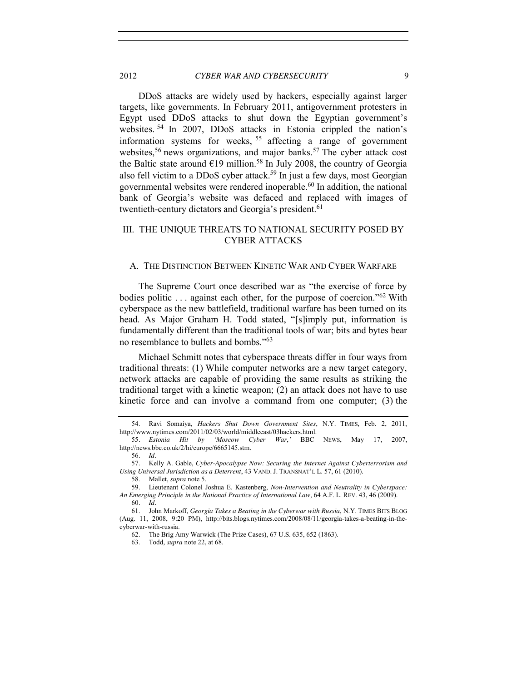2012 *CYBER WAR AND CYBERSECURITY* 9

DDoS attacks are widely used by hackers, especially against larger targets, like governments. In February 2011, antigovernment protesters in Egypt used DDoS attacks to shut down the Egyptian government's websites. <sup>54</sup> In 2007, DDoS attacks in Estonia crippled the nation's information systems for weeks, <sup>55</sup> affecting a range of government websites,<sup>56</sup> news organizations, and major banks.<sup>57</sup> The cyber attack cost the Baltic state around  $\epsilon$ 19 million.<sup>58</sup> In July 2008, the country of Georgia also fell victim to a DDoS cyber attack.<sup>59</sup> In just a few days, most Georgian governmental websites were rendered inoperable.<sup>60</sup> In addition, the national bank of Georgia's website was defaced and replaced with images of twentieth-century dictators and Georgia's president.<sup>61</sup>

# <span id="page-8-0"></span>III. THE UNIQUE THREATS TO NATIONAL SECURITY POSED BY CYBER ATTACKS

## <span id="page-8-1"></span>A. THE DISTINCTION BETWEEN KINETIC WAR AND CYBER WARFARE

The Supreme Court once described war as "the exercise of force by bodies politic ... against each other, for the purpose of coercion."<sup>62</sup> With cyberspace as the new battlefield, traditional warfare has been turned on its head. As Major Graham H. Todd stated, "[s]imply put, information is fundamentally different than the traditional tools of war; bits and bytes bear no resemblance to bullets and bombs."<sup>63</sup>

Michael Schmitt notes that cyberspace threats differ in four ways from traditional threats: (1) While computer networks are a new target category, network attacks are capable of providing the same results as striking the traditional target with a kinetic weapon; (2) an attack does not have to use kinetic force and can involve a command from one computer; (3) the

<sup>54.</sup> Ravi Somaiya, *Hackers Shut Down Government Sites*, N.Y. TIMES, Feb. 2, 2011, http://www.nytimes.com/2011/02/03/world/middleeast/03hackers.html.

<sup>55</sup>*. Estonia Hit by 'Moscow Cyber War*,*'* BBC NEWS, May 17, 2007, http://news.bbc.co.uk/2/hi/europe/6665145.stm.

<sup>56</sup>*. Id.*

<sup>57.</sup> Kelly A. Gable, *Cyber-Apocalypse Now: Securing the Internet Against Cyberterrorism and Using Universal Jurisdiction as a Deterrent*, 43 VAND. J. TRANSNAT'L L. 57, 61 (2010).

<sup>58.</sup> Mallet, *supra* note 5.

<sup>59.</sup> Lieutenant Colonel Joshua E. Kastenberg, *Non-Intervention and Neutrality in Cyberspace: An Emerging Principle in the National Practice of International Law*, 64 A.F. L. REV. 43, 46 (2009). 60*. Id.*

<sup>61.</sup> John Markoff, *Georgia Takes a Beating in the Cyberwar with Russia*, N.Y. TIMES BITS BLOG (Aug. 11, 2008, 9:20 PM), http://bits.blogs.nytimes.com/2008/08/11/georgia-takes-a-beating-in-thecyberwar-with-russia.

<sup>62.</sup> The Brig Amy Warwick (The Prize Cases), 67 U.S. 635, 652 (1863).

<sup>63.</sup> Todd, *supra* note 22, at 68.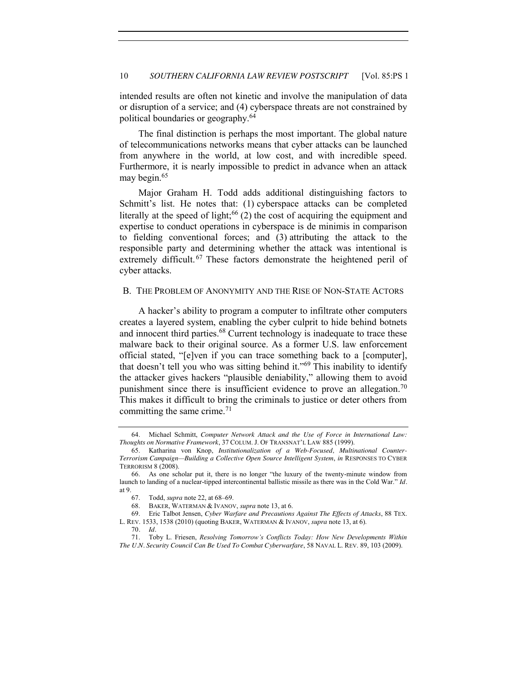intended results are often not kinetic and involve the manipulation of data or disruption of a service; and (4) cyberspace threats are not constrained by political boundaries or geography.<sup>64</sup>

The final distinction is perhaps the most important. The global nature of telecommunications networks means that cyber attacks can be launched from anywhere in the world, at low cost, and with incredible speed. Furthermore, it is nearly impossible to predict in advance when an attack may begin.<sup>65</sup>

Major Graham H. Todd adds additional distinguishing factors to Schmitt's list. He notes that: (1) cyberspace attacks can be completed literally at the speed of light; $66$  (2) the cost of acquiring the equipment and expertise to conduct operations in cyberspace is de minimis in comparison to fielding conventional forces; and (3) attributing the attack to the responsible party and determining whether the attack was intentional is extremely difficult.<sup>67</sup> These factors demonstrate the heightened peril of cyber attacks.

#### <span id="page-9-0"></span>B. THE PROBLEM OF ANONYMITY AND THE RISE OF NON-STATE ACTORS

A hacker's ability to program a computer to infiltrate other computers creates a layered system, enabling the cyber culprit to hide behind botnets and innocent third parties.<sup>68</sup> Current technology is inadequate to trace these malware back to their original source. As a former U.S. law enforcement official stated, "[e]ven if you can trace something back to a [computer], that doesn't tell you who was sitting behind it."<sup>69</sup> This inability to identify the attacker gives hackers "plausible deniability," allowing them to avoid punishment since there is insufficient evidence to prove an allegation.<sup>70</sup> This makes it difficult to bring the criminals to justice or deter others from committing the same crime.<sup>71</sup>

<sup>64.</sup> Michael Schmitt, *Computer Network Attack and the Use of Force in International Law: Thoughts on Normative Framework*, 37 COLUM. J. OF TRANSNAT'L LAW 885 (1999).

<sup>65.</sup> Katharina von Knop, *Institutionalization of a Web-Focused, Multinational Counter-Terrorism Campaign—Building a Collective Open Source Intelligent System*, *in* RESPONSES TO CYBER TERRORISM 8 (2008).

<sup>66.</sup> As one scholar put it, there is no longer "the luxury of the twenty-minute window from launch to landing of a nuclear-tipped intercontinental ballistic missile as there was in the Cold War." *Id.* at 9.

<sup>67.</sup> Todd, *supra* note 22, at 68–69.

<sup>68.</sup> BAKER, WATERMAN & IVANOV, *supra* note 13, at 6.

<sup>69.</sup> Eric Talbot Jensen, *Cyber Warfare and Precautions Against The Effects of Attacks*, 88 TEX. L. REV. 1533, 1538 (2010) (quoting BAKER, WATERMAN & IVANOV, *supra* note 13, at 6).

<sup>70</sup>*. Id.*

<sup>71.</sup> Toby L. Friesen, *Resolving Tomorrow's Conflicts Today: How New Developments Within The U.N. Security Council Can Be Used To Combat Cyberwarfare*, 58 NAVAL L. REV. 89, 103 (2009).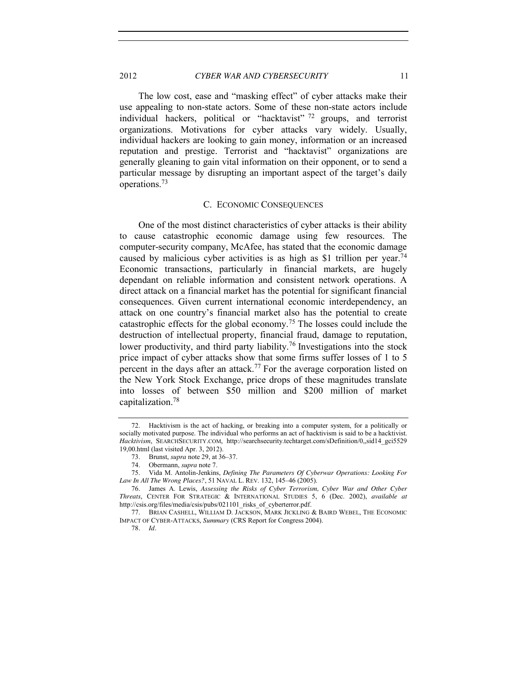2012 *CYBER WAR AND CYBERSECURITY* 11

The low cost, ease and "masking effect" of cyber attacks make their use appealing to non-state actors. Some of these non-state actors include individual hackers, political or "hacktavist" <sup>72</sup> groups, and terrorist organizations. Motivations for cyber attacks vary widely. Usually, individual hackers are looking to gain money, information or an increased reputation and prestige. Terrorist and "hacktavist" organizations are generally gleaning to gain vital information on their opponent, or to send a particular message by disrupting an important aspect of the target's daily operations.73

#### C. ECONOMIC CONSEQUENCES

<span id="page-10-0"></span>One of the most distinct characteristics of cyber attacks is their ability to cause catastrophic economic damage using few resources. The computer-security company, McAfee, has stated that the economic damage caused by malicious cyber activities is as high as \$1 trillion per year.<sup>74</sup> Economic transactions, particularly in financial markets, are hugely dependant on reliable information and consistent network operations. A direct attack on a financial market has the potential for significant financial consequences. Given current international economic interdependency, an attack on one country's financial market also has the potential to create catastrophic effects for the global economy.<sup>75</sup> The losses could include the destruction of intellectual property, financial fraud, damage to reputation, lower productivity, and third party liability.<sup>76</sup> Investigations into the stock price impact of cyber attacks show that some firms suffer losses of 1 to 5 percent in the days after an attack.<sup>77</sup> For the average corporation listed on the New York Stock Exchange, price drops of these magnitudes translate into losses of between \$50 million and \$200 million of market capitalization.78

<sup>72.</sup> Hacktivism is the act of hacking, or breaking into a computer system, for a politically or socially motivated purpose. The individual who performs an act of hacktivism is said to be a hacktivist. *Hacktivism*, SEARCHSECURITY.COM, http://searchsecurity.techtarget.com/sDefinition/0,,sid14\_gci5529 19,00.html (last visited Apr. 3, 2012).

<sup>73.</sup> Brunst, *supra* note 29, at 36–37.

<sup>74.</sup> Obermann, *supra* note 7.

<sup>75.</sup> Vida M. Antolin-Jenkins, *Defining The Parameters Of Cyberwar Operations: Looking For Law In All The Wrong Places?*, 51 NAVAL L. REV. 132, 145–46 (2005).

<sup>76.</sup> James A. Lewis, *Assessing the Risks of Cyber Terrorism, Cyber War and Other Cyber Threats*, CENTER FOR STRATEGIC & INTERNATIONAL STUDIES 5, 6 (Dec. 2002), *available at* http://csis.org/files/media/csis/pubs/021101\_risks\_of\_cyberterror.pdf.

<sup>77.</sup> BRIAN CASHELL, WILLIAM D. JACKSON, MARK JICKLING & BAIRD WEBEL, THE ECONOMIC IMPACT OF CYBER-ATTACKS, *Summary* (CRS Report for Congress 2004).

<sup>78</sup>*. Id.*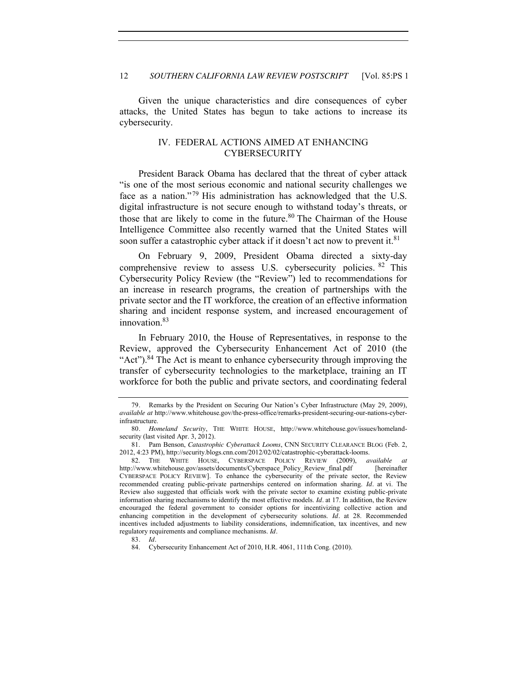<span id="page-11-0"></span>Given the unique characteristics and dire consequences of cyber attacks, the United States has begun to take actions to increase its cybersecurity.

## IV. FEDERAL ACTIONS AIMED AT ENHANCING CYBERSECURITY

President Barack Obama has declared that the threat of cyber attack "is one of the most serious economic and national security challenges we face as a nation."<sup>79</sup> His administration has acknowledged that the U.S. digital infrastructure is not secure enough to withstand today's threats, or those that are likely to come in the future.<sup>80</sup> The Chairman of the House Intelligence Committee also recently warned that the United States will soon suffer a catastrophic cyber attack if it doesn't act now to prevent it.<sup>81</sup>

On February 9, 2009, President Obama directed a sixty-day comprehensive review to assess U.S. cybersecurity policies. <sup>82</sup> This Cybersecurity Policy Review (the "Review") led to recommendations for an increase in research programs, the creation of partnerships with the private sector and the IT workforce, the creation of an effective information sharing and incident response system, and increased encouragement of innovation.<sup>83</sup>

In February 2010, the House of Representatives, in response to the Review, approved the Cybersecurity Enhancement Act of 2010 (the "Act").<sup>84</sup> The Act is meant to enhance cybersecurity through improving the transfer of cybersecurity technologies to the marketplace, training an IT workforce for both the public and private sectors, and coordinating federal

<sup>79</sup>*.* Remarks by the President on Securing Our Nation's Cyber Infrastructure (May 29, 2009), *available at* http://www.whitehouse.gov/the-press-office/remarks-president-securing-our-nations-cyberinfrastructure.

<sup>80</sup>*. Homeland Security*, THE WHITE HOUSE, http://www.whitehouse.gov/issues/homelandsecurity (last visited Apr. 3, 2012).

<sup>81.</sup> Pam Benson, *Catastrophic Cyberattack Looms*, CNN SECURITY CLEARANCE BLOG (Feb. 2, 2012, 4:23 PM), http://security.blogs.cnn.com/2012/02/02/catastrophic-cyberattack-looms.

<sup>82.</sup> THE WHITE HOUSE, CYBERSPACE POLICY REVIEW (2009), *available at*  http://www.whitehouse.gov/assets/documents/Cyberspace\_Policy\_Review\_final.pdf [hereinafter CYBERSPACE POLICY REVIEW]. To enhance the cybersecurity of the private sector, the Review recommended creating public-private partnerships centered on information sharing. *Id.* at vi. The Review also suggested that officials work with the private sector to examine existing public-private information sharing mechanisms to identify the most effective models. *Id.* at 17. In addition, the Review encouraged the federal government to consider options for incentivizing collective action and enhancing competition in the development of cybersecurity solutions. *Id.* at 28. Recommended incentives included adjustments to liability considerations, indemnification, tax incentives, and new regulatory requirements and compliance mechanisms. *Id.*

<sup>83</sup>*. Id.*

<sup>84.</sup> Cybersecurity Enhancement Act of 2010, H.R. 4061, 111th Cong. (2010).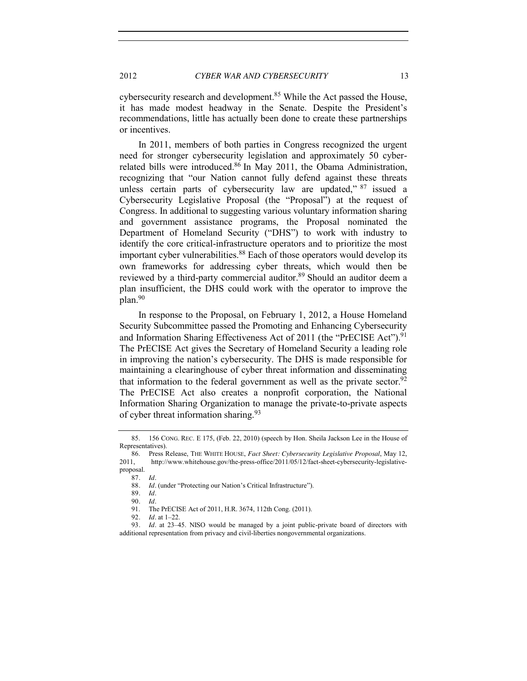cybersecurity research and development.<sup>85</sup> While the Act passed the House, it has made modest headway in the Senate. Despite the President's recommendations, little has actually been done to create these partnerships or incentives.

In 2011, members of both parties in Congress recognized the urgent need for stronger cybersecurity legislation and approximately 50 cyberrelated bills were introduced.<sup>86</sup> In May 2011, the Obama Administration, recognizing that "our Nation cannot fully defend against these threats unless certain parts of cybersecurity law are updated,"  $87$  issued a Cybersecurity Legislative Proposal (the "Proposal") at the request of Congress. In additional to suggesting various voluntary information sharing and government assistance programs, the Proposal nominated the Department of Homeland Security ("DHS") to work with industry to identify the core critical-infrastructure operators and to prioritize the most important cyber vulnerabilities.<sup>88</sup> Each of those operators would develop its own frameworks for addressing cyber threats, which would then be reviewed by a third-party commercial auditor.<sup>89</sup> Should an auditor deem a plan insufficient, the DHS could work with the operator to improve the plan.90

In response to the Proposal, on February 1, 2012, a House Homeland Security Subcommittee passed the Promoting and Enhancing Cybersecurity and Information Sharing Effectiveness Act of 2011 (the "PrECISE Act").<sup>91</sup> The PrECISE Act gives the Secretary of Homeland Security a leading role in improving the nation's cybersecurity. The DHS is made responsible for maintaining a clearinghouse of cyber threat information and disseminating that information to the federal government as well as the private sector.<sup>92</sup> The PrECISE Act also creates a nonprofit corporation, the National Information Sharing Organization to manage the private-to-private aspects of cyber threat information sharing.<sup>93</sup>

89*. Id.*

90*. Id.*

92*. Id.* at 1–22.

<sup>85.</sup> 156 CONG. REC. E 175, (Feb. 22, 2010) (speech by Hon. Sheila Jackson Lee in the House of Representatives).

<sup>86.</sup> Press Release, THE WHITE HOUSE, *Fact Sheet: Cybersecurity Legislative Proposal*, May 12, 2011, http://www.whitehouse.gov/the-press-office/2011/05/12/fact-sheet-cybersecurity-legislativeproposal.

<sup>87</sup>*. Id.*

<sup>88</sup>*. Id.* (under "Protecting our Nation's Critical Infrastructure").

The PrECISE Act of 2011, H.R. 3674, 112th Cong. (2011).

<sup>93</sup>*. Id.* at 23–45. NISO would be managed by a joint public-private board of directors with additional representation from privacy and civil-liberties nongovernmental organizations.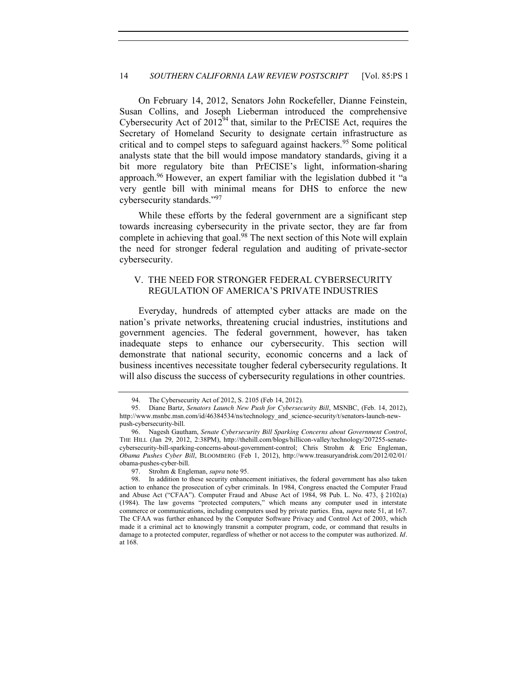On February 14, 2012, Senators John Rockefeller, Dianne Feinstein, Susan Collins, and Joseph Lieberman introduced the comprehensive Cybersecurity Act of  $2012^{94}$  that, similar to the PrECISE Act, requires the Secretary of Homeland Security to designate certain infrastructure as critical and to compel steps to safeguard against hackers.<sup>95</sup> Some political analysts state that the bill would impose mandatory standards, giving it a bit more regulatory bite than PrECISE's light, information-sharing approach.96 However, an expert familiar with the legislation dubbed it "a very gentle bill with minimal means for DHS to enforce the new cybersecurity standards."<sup>97</sup>

While these efforts by the federal government are a significant step towards increasing cybersecurity in the private sector, they are far from complete in achieving that goal.<sup>98</sup> The next section of this Note will explain the need for stronger federal regulation and auditing of private-sector cybersecurity.

# <span id="page-13-0"></span>V. THE NEED FOR STRONGER FEDERAL CYBERSECURITY REGULATION OF AMERICA'S PRIVATE INDUSTRIES

Everyday, hundreds of attempted cyber attacks are made on the nation's private networks, threatening crucial industries, institutions and government agencies. The federal government, however, has taken inadequate steps to enhance our cybersecurity. This section will demonstrate that national security, economic concerns and a lack of business incentives necessitate tougher federal cybersecurity regulations. It will also discuss the success of cybersecurity regulations in other countries.

<sup>94.</sup> The Cybersecurity Act of 2012, S. 2105 (Feb 14, 2012).

<sup>95.</sup> Diane Bartz, *Senators Launch New Push for Cybersecurity Bill*, MSNBC, (Feb. 14, 2012), http://www.msnbc.msn.com/id/46384534/ns/technology\_and\_science-security/t/senators-launch-newpush-cybersecurity-bill.

<sup>96.</sup> Nagesh Gautham, *Senate Cybersecurity Bill Sparking Concerns about Government Control*, THE HILL (Jan 29, 2012, 2:38PM), http://thehill.com/blogs/hillicon-valley/technology/207255-senatecybersecurity-bill-sparking-concerns-about-government-control; Chris Strohm & Eric Engleman, *Obama Pushes Cyber Bill*, BLOOMBERG (Feb 1, 2012), http://www.treasuryandrisk.com/2012/02/01/ obama-pushes-cyber-bill.

<sup>97</sup>*.* Strohm & Engleman, *supra* note 95.

<sup>98.</sup> In addition to these security enhancement initiatives, the federal government has also taken action to enhance the prosecution of cyber criminals. In 1984, Congress enacted the Computer Fraud and Abuse Act ("CFAA"). Computer Fraud and Abuse Act of 1984, 98 Pub. L. No. 473, § 2102(a) (1984). The law governs "protected computers," which means any computer used in interstate commerce or communications, including computers used by private parties. Ena, *supra* note 51, at 167. The CFAA was further enhanced by the Computer Software Privacy and Control Act of 2003, which made it a criminal act to knowingly transmit a computer program, code, or command that results in damage to a protected computer, regardless of whether or not access to the computer was authorized. *Id.* at 168.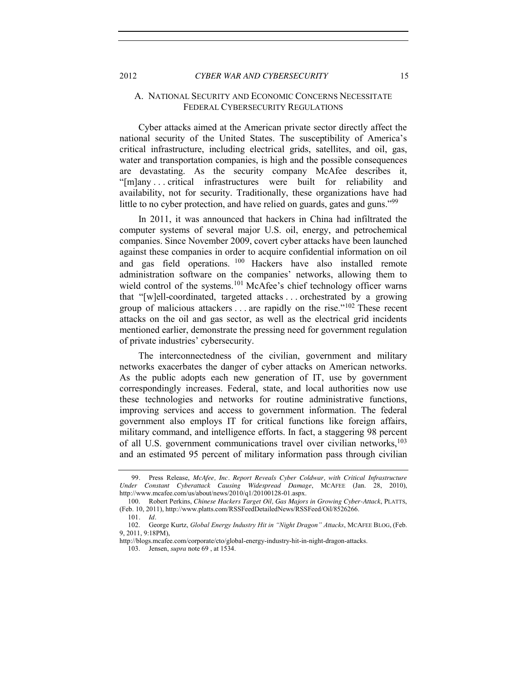## <span id="page-14-0"></span>A. NATIONAL SECURITY AND ECONOMIC CONCERNS NECESSITATE FEDERAL CYBERSECURITY REGULATIONS

Cyber attacks aimed at the American private sector directly affect the national security of the United States. The susceptibility of America's critical infrastructure, including electrical grids, satellites, and oil, gas, water and transportation companies, is high and the possible consequences are devastating. As the security company McAfee describes it, "[m]any . . . critical infrastructures were built for reliability and availability, not for security. Traditionally, these organizations have had little to no cyber protection, and have relied on guards, gates and guns."<sup>99</sup>

In 2011, it was announced that hackers in China had infiltrated the computer systems of several major U.S. oil, energy, and petrochemical companies. Since November 2009, covert cyber attacks have been launched against these companies in order to acquire confidential information on oil and gas field operations. <sup>100</sup> Hackers have also installed remote administration software on the companies' networks, allowing them to wield control of the systems.<sup>101</sup> McAfee's chief technology officer warns that "[w]ell-coordinated, targeted attacks . . . orchestrated by a growing group of malicious attackers . . . are rapidly on the rise."<sup>102</sup> These recent attacks on the oil and gas sector, as well as the electrical grid incidents mentioned earlier, demonstrate the pressing need for government regulation of private industries' cybersecurity.

The interconnectedness of the civilian, government and military networks exacerbates the danger of cyber attacks on American networks. As the public adopts each new generation of IT, use by government correspondingly increases. Federal, state, and local authorities now use these technologies and networks for routine administrative functions, improving services and access to government information. The federal government also employs IT for critical functions like foreign affairs, military command, and intelligence efforts. In fact, a staggering 98 percent of all U.S. government communications travel over civilian networks,<sup>103</sup> and an estimated 95 percent of military information pass through civilian

<sup>99</sup>*.* Press Release, *McAfee, Inc. Report Reveals Cyber Coldwar, with Critical Infrastructure Under Constant Cyberattack Causing Widespread Damage*, MCAFEE (Jan. 28, 2010), http://www.mcafee.com/us/about/news/2010/q1/20100128-01.aspx.

<sup>100.</sup> Robert Perkins, *Chinese Hackers Target Oil, Gas Majors in Growing Cyber-Attack*, PLATTS, (Feb. 10, 2011), http://www.platts.com/RSSFeedDetailedNews/RSSFeed/Oil/8526266.

<sup>101</sup>*. Id.*

<sup>102.</sup> George Kurtz, *Global Energy Industry Hit in "Night Dragon" Attacks*, MCAFEE BLOG, (Feb. 9, 2011, 9:18PM),

http://blogs.mcafee.com/corporate/cto/global-energy-industry-hit-in-night-dragon-attacks. 103. Jensen, *supra* note 69 , at 1534.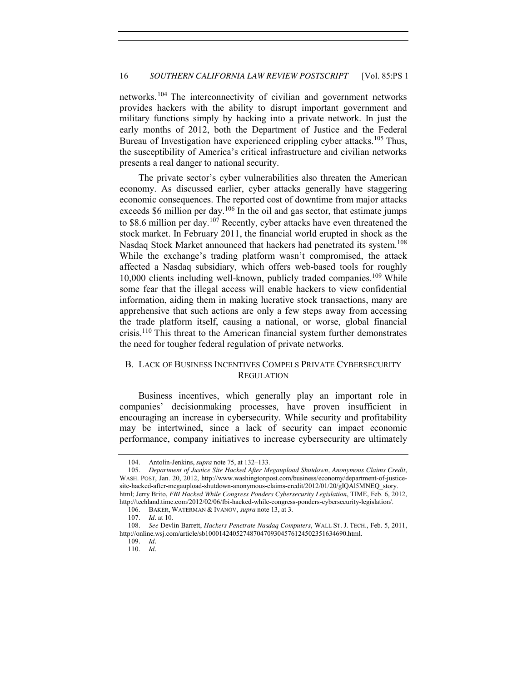networks.<sup>104</sup> The interconnectivity of civilian and government networks provides hackers with the ability to disrupt important government and military functions simply by hacking into a private network. In just the early months of 2012, both the Department of Justice and the Federal Bureau of Investigation have experienced crippling cyber attacks.<sup>105</sup> Thus, the susceptibility of America's critical infrastructure and civilian networks presents a real danger to national security.

The private sector's cyber vulnerabilities also threaten the American economy. As discussed earlier, cyber attacks generally have staggering economic consequences. The reported cost of downtime from major attacks exceeds  $$6$  million per day.<sup>106</sup> In the oil and gas sector, that estimate jumps to \$8.6 million per day.<sup>107</sup> Recently, cyber attacks have even threatened the stock market. In February 2011, the financial world erupted in shock as the Nasdaq Stock Market announced that hackers had penetrated its system.<sup>108</sup> While the exchange's trading platform wasn't compromised, the attack affected a Nasdaq subsidiary, which offers web-based tools for roughly 10,000 clients including well-known, publicly traded companies.109 While some fear that the illegal access will enable hackers to view confidential information, aiding them in making lucrative stock transactions, many are apprehensive that such actions are only a few steps away from accessing the trade platform itself, causing a national, or worse, global financial crisis.110 This threat to the American financial system further demonstrates the need for tougher federal regulation of private networks.

# <span id="page-15-0"></span>B. LACK OF BUSINESS INCENTIVES COMPELS PRIVATE CYBERSECURITY **REGULATION**

Business incentives, which generally play an important role in companies' decisionmaking processes, have proven insufficient in encouraging an increase in cybersecurity. While security and profitability may be intertwined, since a lack of security can impact economic performance, company initiatives to increase cybersecurity are ultimately

<sup>104.</sup> Antolin-Jenkins, *supra* note 75, at 132–133.

<sup>105</sup>*. Department of Justice Site Hacked After Megaupload Shutdown, Anonymous Claims Credit*, WASH. POST, Jan. 20, 2012, http://www.washingtonpost.com/business/economy/department-of-justicesite-hacked-after-megaupload-shutdown-anonymous-claims-credit/2012/01/20/gIQAl5MNEQ\_story. html; Jerry Brito, *FBI Hacked While Congress Ponders Cybersecurity Legislation*, TIME, Feb. 6, 2012, http://techland.time.com/2012/02/06/fbi-hacked-while-congress-ponders-cybersecurity-legislation/.

<sup>106.</sup> BAKER, WATERMAN & IVANOV, *supra* note 13, at 3.

<sup>107</sup>*. Id.* at 10.

<sup>108</sup>*. See* Devlin Barrett, *Hackers Penetrate Nasdaq Computers*, WALL ST. J. TECH., Feb. 5, 2011, http://online.wsj.com/article/sb10001424052748704709304576124502351634690.html.

<sup>109</sup>*. Id.*

<sup>110</sup>*. Id.*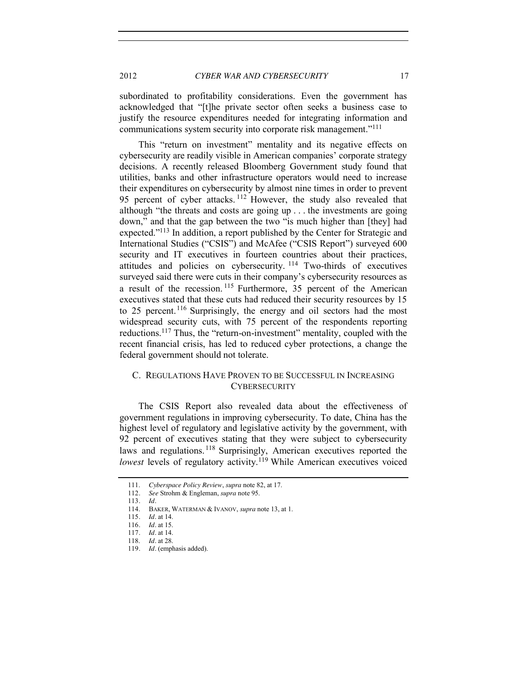2012 *CYBER WAR AND CYBERSECURITY* 17

subordinated to profitability considerations. Even the government has acknowledged that "[t]he private sector often seeks a business case to justify the resource expenditures needed for integrating information and communications system security into corporate risk management."<sup>111</sup>

This "return on investment" mentality and its negative effects on cybersecurity are readily visible in American companies' corporate strategy decisions. A recently released Bloomberg Government study found that utilities, banks and other infrastructure operators would need to increase their expenditures on cybersecurity by almost nine times in order to prevent 95 percent of cyber attacks.<sup>112</sup> However, the study also revealed that although "the threats and costs are going up . . . the investments are going down," and that the gap between the two "is much higher than [they] had expected."<sup>113</sup> In addition, a report published by the Center for Strategic and International Studies ("CSIS") and McAfee ("CSIS Report") surveyed 600 security and IT executives in fourteen countries about their practices, attitudes and policies on cybersecurity. <sup>114</sup> Two-thirds of executives surveyed said there were cuts in their company's cybersecurity resources as a result of the recession. <sup>115</sup> Furthermore, 35 percent of the American executives stated that these cuts had reduced their security resources by 15 to 25 percent. <sup>116</sup> Surprisingly, the energy and oil sectors had the most widespread security cuts, with 75 percent of the respondents reporting reductions.<sup>117</sup> Thus, the "return-on-investment" mentality, coupled with the recent financial crisis, has led to reduced cyber protections, a change the federal government should not tolerate.

# <span id="page-16-0"></span>C. REGULATIONS HAVE PROVEN TO BE SUCCESSFUL IN INCREASING **CYBERSECURITY**

The CSIS Report also revealed data about the effectiveness of government regulations in improving cybersecurity. To date, China has the highest level of regulatory and legislative activity by the government, with 92 percent of executives stating that they were subject to cybersecurity laws and regulations. <sup>118</sup> Surprisingly, American executives reported the *lowest* levels of regulatory activity.<sup>119</sup> While American executives voiced

<sup>111.</sup> *Cyberspace Policy Review*, *supra* note 82, at 17.

<sup>112</sup>*. See* Strohm & Engleman, *supra* note 95.

<sup>113</sup>*. Id.*

<sup>114.</sup> BAKER, WATERMAN & IVANOV, *supra* note 13, at 1.

<sup>115</sup>*. Id.* at 14.

<sup>116</sup>*. Id.* at 15.

<sup>117</sup>*. Id.* at 14.

<sup>118.</sup> *Id.* at 28.

<sup>119</sup>*. Id.* (emphasis added).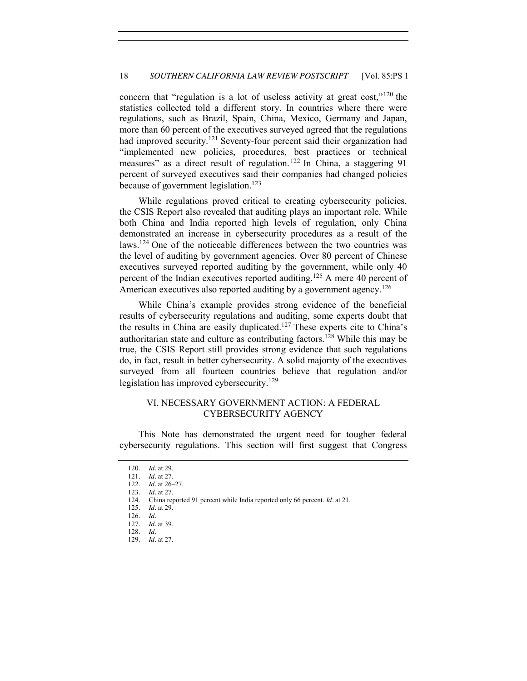concern that "regulation is a lot of useless activity at great cost,"<sup>120</sup> the statistics collected told a different story. In countries where there were regulations, such as Brazil, Spain, China, Mexico, Germany and Japan, more than 60 percent of the executives surveyed agreed that the regulations had improved security.<sup>121</sup> Seventy-four percent said their organization had "implemented new policies, procedures, best practices or technical measures" as a direct result of regulation.<sup>122</sup> In China, a staggering 91 percent of surveyed executives said their companies had changed policies because of government legislation.<sup>123</sup>

While regulations proved critical to creating cybersecurity policies, the CSIS Report also revealed that auditing plays an important role. While both China and India reported high levels of regulation, only China demonstrated an increase in cybersecurity procedures as a result of the laws.124 One of the noticeable differences between the two countries was the level of auditing by government agencies. Over 80 percent of Chinese executives surveyed reported auditing by the government, while only 40 percent of the Indian executives reported auditing.<sup>125</sup> A mere 40 percent of American executives also reported auditing by a government agency.<sup>126</sup>

While China's example provides strong evidence of the beneficial results of cybersecurity regulations and auditing, some experts doubt that the results in China are easily duplicated.127 These experts cite to China's authoritarian state and culture as contributing factors.<sup>128</sup> While this may be true, the CSIS Report still provides strong evidence that such regulations do, in fact, result in better cybersecurity. A solid majority of the executives surveyed from all fourteen countries believe that regulation and/or legislation has improved cybersecurity.<sup>129</sup>

# <span id="page-17-0"></span>VI. NECESSARY GOVERNMENT ACTION: A FEDERAL CYBERSECURITY AGENCY

This Note has demonstrated the urgent need for tougher federal cybersecurity regulations. This section will first suggest that Congress

<sup>120</sup>*. Id.* at 29.

<sup>121</sup>*. Id.* at 27.

<sup>122</sup>*. Id.* at 26–27.

<sup>123</sup>*. Id.* at 27.

<sup>124.</sup> China reported 91 percent while India reported only 66 percent. *Id.* at 21.

<sup>125</sup>*. Id.* at 29.

<sup>126</sup>*. Id.*

<sup>127</sup>*. Id.* at 39.

<sup>128</sup>*. Id.*

<sup>129</sup>*. Id.* at 27.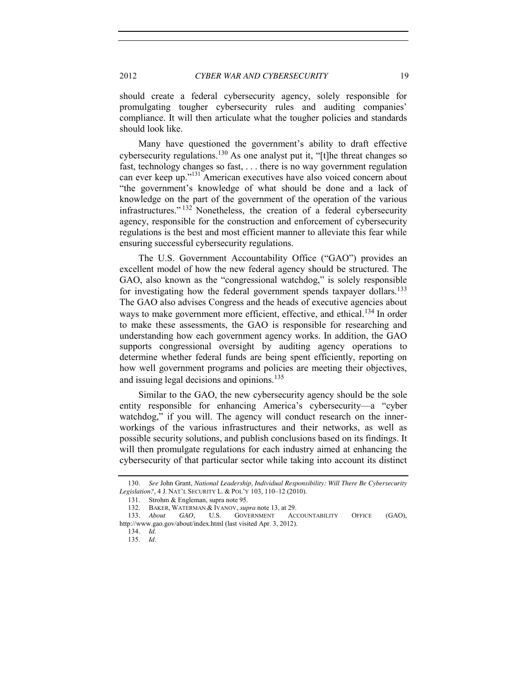should create a federal cybersecurity agency, solely responsible for promulgating tougher cybersecurity rules and auditing companies' compliance. It will then articulate what the tougher policies and standards should look like.

Many have questioned the government's ability to draft effective cybersecurity regulations.<sup>130</sup> As one analyst put it, "[t]he threat changes so fast, technology changes so fast, . . . there is no way government regulation can ever keep up."<sup>131</sup> American executives have also voiced concern about "the government's knowledge of what should be done and a lack of knowledge on the part of the government of the operation of the various infrastructures." <sup>132</sup> Nonetheless, the creation of a federal cybersecurity agency, responsible for the construction and enforcement of cybersecurity regulations is the best and most efficient manner to alleviate this fear while ensuring successful cybersecurity regulations.

The U.S. Government Accountability Office ("GAO") provides an excellent model of how the new federal agency should be structured. The GAO, also known as the "congressional watchdog," is solely responsible for investigating how the federal government spends taxpayer dollars.<sup>133</sup> The GAO also advises Congress and the heads of executive agencies about ways to make government more efficient, effective, and ethical.<sup>134</sup> In order to make these assessments, the GAO is responsible for researching and understanding how each government agency works. In addition, the GAO supports congressional oversight by auditing agency operations to determine whether federal funds are being spent efficiently, reporting on how well government programs and policies are meeting their objectives, and issuing legal decisions and opinions.<sup>135</sup>

Similar to the GAO, the new cybersecurity agency should be the sole entity responsible for enhancing America's cybersecurity—a "cyber watchdog," if you will. The agency will conduct research on the innerworkings of the various infrastructures and their networks, as well as possible security solutions, and publish conclusions based on its findings. It will then promulgate regulations for each industry aimed at enhancing the cybersecurity of that particular sector while taking into account its distinct

<sup>130</sup>*. See* John Grant, *National Leadership, Individual Responsibility: Will There Be Cybersecurity Legislation?*, 4 J. NAT'L SECURITY L. & POL'Y 103, 110–12 (2010).

<sup>131.</sup> Strohm & Engleman, supra note 95.

<sup>132.</sup> BAKER, WATERMAN & IVANOV, *supra* note 13, at 29.

GAO, U.S. GOVERNMENT ACCOUNTABILITY OFFICE (GAO), http://www.gao.gov/about/index.html (last visited Apr. 3, 2012).

<sup>134</sup>*. Id*.

<sup>135</sup>*. Id.*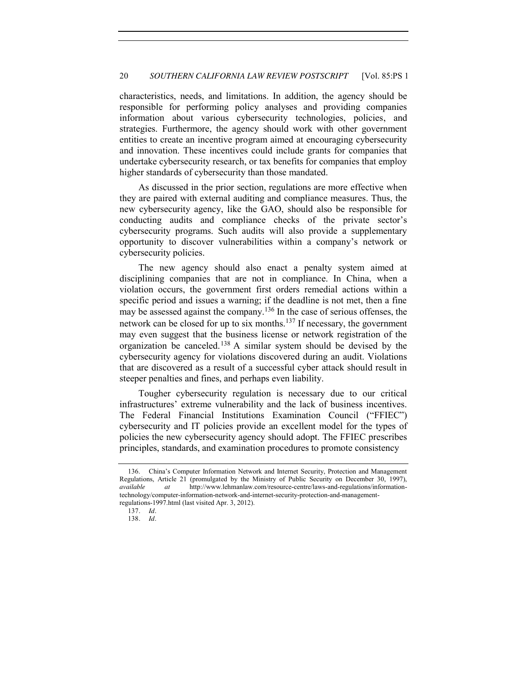characteristics, needs, and limitations. In addition, the agency should be responsible for performing policy analyses and providing companies information about various cybersecurity technologies, policies, and strategies. Furthermore, the agency should work with other government entities to create an incentive program aimed at encouraging cybersecurity and innovation. These incentives could include grants for companies that undertake cybersecurity research, or tax benefits for companies that employ higher standards of cybersecurity than those mandated.

As discussed in the prior section, regulations are more effective when they are paired with external auditing and compliance measures. Thus, the new cybersecurity agency, like the GAO, should also be responsible for conducting audits and compliance checks of the private sector's cybersecurity programs. Such audits will also provide a supplementary opportunity to discover vulnerabilities within a company's network or cybersecurity policies.

The new agency should also enact a penalty system aimed at disciplining companies that are not in compliance. In China, when a violation occurs, the government first orders remedial actions within a specific period and issues a warning; if the deadline is not met, then a fine may be assessed against the company.<sup>136</sup> In the case of serious offenses, the network can be closed for up to six months.<sup>137</sup> If necessary, the government may even suggest that the business license or network registration of the organization be canceled.<sup>138</sup> A similar system should be devised by the cybersecurity agency for violations discovered during an audit. Violations that are discovered as a result of a successful cyber attack should result in steeper penalties and fines, and perhaps even liability.

Tougher cybersecurity regulation is necessary due to our critical infrastructures' extreme vulnerability and the lack of business incentives. The Federal Financial Institutions Examination Council ("FFIEC") cybersecurity and IT policies provide an excellent model for the types of policies the new cybersecurity agency should adopt. The FFIEC prescribes principles, standards, and examination procedures to promote consistency

<sup>136.</sup> China's Computer Information Network and Internet Security, Protection and Management Regulations, Article 21 (promulgated by the Ministry of Public Security on December 30, 1997), *available at* http://www.lehmanlaw.com/resource-centre/laws-and-regulations/informationtechnology/computer-information-network-and-internet-security-protection-and-managementregulations-1997.html (last visited Apr. 3, 2012).

<sup>137</sup>*. Id.*

<sup>138</sup>*. Id.*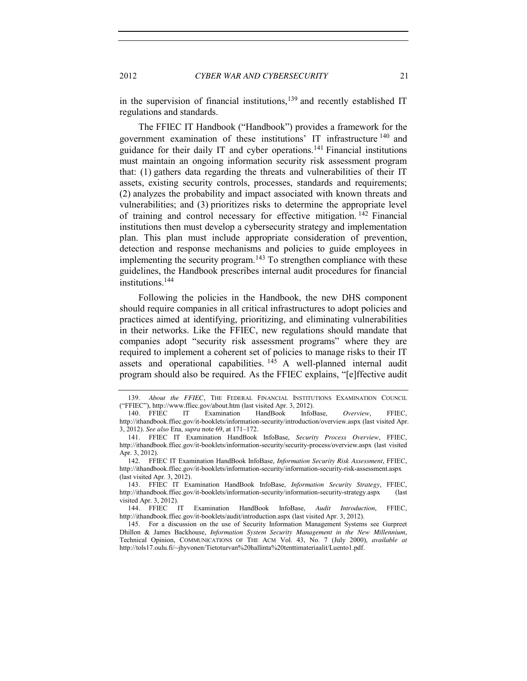in the supervision of financial institutions, $139$  and recently established IT regulations and standards.

The FFIEC IT Handbook ("Handbook") provides a framework for the government examination of these institutions' IT infrastructure <sup>140</sup> and guidance for their daily IT and cyber operations.<sup>141</sup> Financial institutions must maintain an ongoing information security risk assessment program that: (1) gathers data regarding the threats and vulnerabilities of their IT assets, existing security controls, processes, standards and requirements; (2) analyzes the probability and impact associated with known threats and vulnerabilities; and (3) prioritizes risks to determine the appropriate level of training and control necessary for effective mitigation.  $142$  Financial institutions then must develop a cybersecurity strategy and implementation plan. This plan must include appropriate consideration of prevention, detection and response mechanisms and policies to guide employees in implementing the security program.<sup>143</sup> To strengthen compliance with these guidelines, the Handbook prescribes internal audit procedures for financial institutions.144

Following the policies in the Handbook, the new DHS component should require companies in all critical infrastructures to adopt policies and practices aimed at identifying, prioritizing, and eliminating vulnerabilities in their networks. Like the FFIEC, new regulations should mandate that companies adopt "security risk assessment programs" where they are required to implement a coherent set of policies to manage risks to their IT assets and operational capabilities. <sup>145</sup> A well-planned internal audit program should also be required. As the FFIEC explains, "[e]ffective audit

<sup>139</sup>*. About the FFIEC*, THE FEDERAL FINANCIAL INSTITUTIONS EXAMINATION COUNCIL ("FFIEC"), http://www.ffiec.gov/about.htm (last visited Apr. 3, 2012).

<sup>140</sup>*.* FFIEC IT Examination HandBook InfoBase, *Overview*, FFIEC, http://ithandbook.ffiec.gov/it-booklets/information-security/introduction/overview.aspx (last visited Apr. 3, 2012). *See also* Ena, *supra* note 69, at 171–172.

<sup>141</sup>*.* FFIEC IT Examination HandBook InfoBase, *Security Process Overview*, FFIEC, http://ithandbook.ffiec.gov/it-booklets/information-security/security-process/overview.aspx (last visited Apr. 3, 2012).

<sup>142</sup>*.* FFIEC IT Examination HandBook InfoBase, *Information Security Risk Assessment*, FFIEC, http://ithandbook.ffiec.gov/it-booklets/information-security/information-security-risk-assessment.aspx (last visited Apr. 3, 2012).

<sup>143</sup>*.* FFIEC IT Examination HandBook InfoBase, *Information Security Strategy*, FFIEC, http://ithandbook.ffiec.gov/it-booklets/information-security/information-security-strategy.aspx (last visited Apr. 3, 2012).

<sup>144</sup>*.* FFIEC IT Examination HandBook InfoBase, *Audit Introduction*, FFIEC, http://ithandbook.ffiec.gov/it-booklets/audit/introduction.aspx (last visited Apr. 3, 2012).

<sup>145.</sup> For a discussion on the use of Security Information Management Systems see Gurpreet Dhillon & James Backhouse, *Information System Security Management in the New Millennium*, Technical Opinion, COMMUNICATIONS OF THE ACM Vol. 43, No. 7 (July 2000), *available at* http://tols17.oulu.fi/~jhyvonen/Tietoturvan%20hallinta%20tenttimateriaalit/Luento1.pdf.